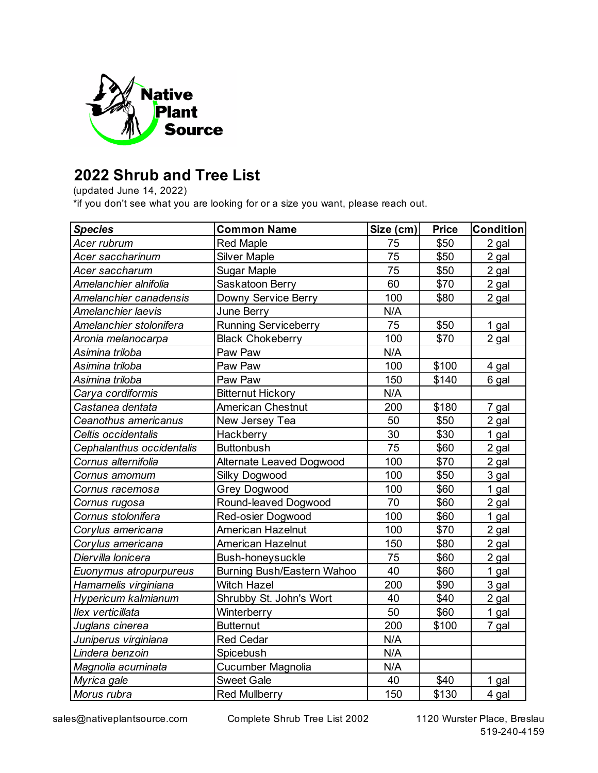

## **2022 Shrub and Tree List**

(updated June 14, 2022)

\*if you don't see what you are looking for or a size you want, please reach out.

| <b>Species</b>            | <b>Common Name</b>         | Size (cm) | <b>Price</b> | <b>Condition</b> |
|---------------------------|----------------------------|-----------|--------------|------------------|
| Acer rubrum               | <b>Red Maple</b>           | 75        | \$50         | 2 gal            |
| Acer saccharinum          | <b>Silver Maple</b>        | 75        | \$50         | 2 gal            |
| Acer saccharum            | Sugar Maple                | 75        | \$50         | 2 gal            |
| Amelanchier alnifolia     | Saskatoon Berry            | 60        | \$70         | 2 gal            |
| Amelanchier canadensis    | Downy Service Berry        | 100       | \$80         | 2 gal            |
| Amelanchier laevis        | June Berry                 | N/A       |              |                  |
| Amelanchier stolonifera   | Running Serviceberry       | 75        | \$50         | 1 gal            |
| Aronia melanocarpa        | <b>Black Chokeberry</b>    | 100       | \$70         | 2 gal            |
| Asimina triloba           | Paw Paw                    | N/A       |              |                  |
| Asimina triloba           | Paw Paw                    | 100       | \$100        | 4 gal            |
| Asimina triloba           | Paw Paw                    | 150       | \$140        | 6 gal            |
| Carya cordiformis         | <b>Bitternut Hickory</b>   | N/A       |              |                  |
| Castanea dentata          | <b>American Chestnut</b>   | 200       | \$180        | 7 gal            |
| Ceanothus americanus      | New Jersey Tea             | 50        | \$50         | 2 gal            |
| Celtis occidentalis       | Hackberry                  | 30        | \$30         | 1 gal            |
| Cephalanthus occidentalis | <b>Buttonbush</b>          | 75        | \$60         | 2 gal            |
| Cornus alternifolia       | Alternate Leaved Dogwood   | 100       | \$70         | 2 gal            |
| Cornus amomum             | Silky Dogwood              | 100       | \$50         | 3 gal            |
| Cornus racemosa           | <b>Grey Dogwood</b>        | 100       | \$60         | 1 gal            |
| Cornus rugosa             | Round-leaved Dogwood       | 70        | \$60         | 2 gal            |
| Cornus stolonifera        | Red-osier Dogwood          | 100       | \$60         | 1 gal            |
| Corylus americana         | American Hazelnut          | 100       | \$70         | 2 gal            |
| Corylus americana         | <b>American Hazelnut</b>   | 150       | \$80         | 2 gal            |
| Diervilla lonicera        | Bush-honeysuckle           | 75        | \$60         | 2 gal            |
| Euonymus atropurpureus    | Burning Bush/Eastern Wahoo | 40        | \$60         | 1 gal            |
| Hamamelis virginiana      | <b>Witch Hazel</b>         | 200       | \$90         | 3 gal            |
| Hypericum kalmianum       | Shrubby St. John's Wort    | 40        | \$40         | 2 gal            |
| llex verticillata         | Winterberry                | 50        | \$60         | 1 gal            |
| Juglans cinerea           | <b>Butternut</b>           | 200       | \$100        | 7 gal            |
| Juniperus virginiana      | <b>Red Cedar</b>           | N/A       |              |                  |
| Lindera benzoin           | Spicebush                  | N/A       |              |                  |
| Magnolia acuminata        | Cucumber Magnolia          | N/A       |              |                  |
| Myrica gale               | <b>Sweet Gale</b>          | 40        | \$40         | 1 gal            |
| Morus rubra               | <b>Red Mullberry</b>       | 150       | \$130        | 4 gal            |

sales@nativeplantsource.com Complete Shrub Tree List 2002 1120 Wurster Place, Breslau